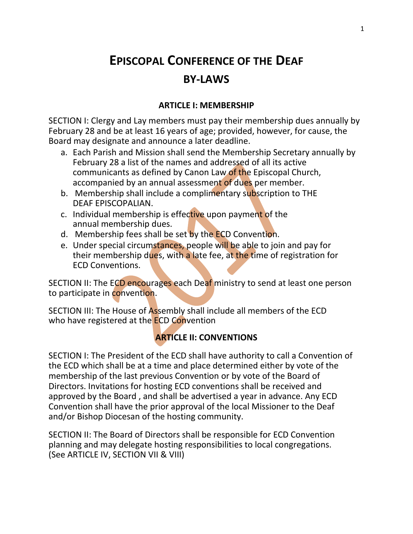# **EPISCOPAL CONFERENCE OF THE DEAF BY-LAWS**

#### **ARTICLE I: MEMBERSHIP**

SECTION I: Clergy and Lay members must pay their membership dues annually by February 28 and be at least 16 years of age; provided, however, for cause, the Board may designate and announce a later deadline.

- a. Each Parish and Mission shall send the Membership Secretary annually by February 28 a list of the names and addressed of all its active communicants as defined by Canon Law of the Episcopal Church, accompanied by an annual assessment of dues per member.
- b. Membership shall include a complimentary subscription to THE DEAF EPISCOPALIAN.
- c. Individual membership is effective upon payment of the annual membership dues.
- d. Membership fees shall be set by the ECD Convention.
- e. Under special circumstances, people will be able to join and pay for their membership dues, with a late fee, at the time of registration for ECD Conventions.

SECTION II: The ECD encourages each Deaf ministry to send at least one person to participate in convention.

SECTION III: The House of Assembly shall include all members of the ECD who have registered at the **ECD Convention** 

## **ARTICLE II: CONVENTIONS**

SECTION I: The President of the ECD shall have authority to call a Convention of the ECD which shall be at a time and place determined either by vote of the membership of the last previous Convention or by vote of the Board of Directors. Invitations for hosting ECD conventions shall be received and approved by the Board , and shall be advertised a year in advance. Any ECD Convention shall have the prior approval of the local Missioner to the Deaf and/or Bishop Diocesan of the hosting community.

SECTION II: The Board of Directors shall be responsible for ECD Convention planning and may delegate hosting responsibilities to local congregations. (See ARTICLE IV, SECTION VII & VIII)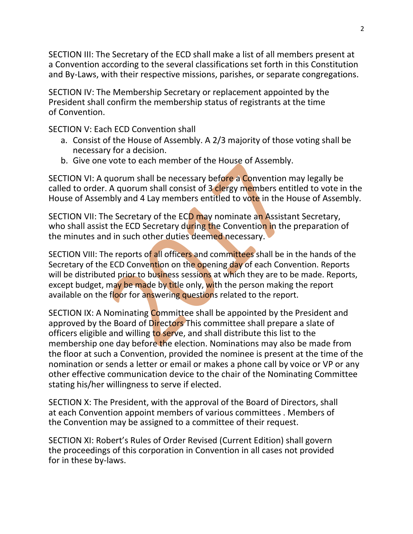SECTION III: The Secretary of the ECD shall make a list of all members present at a Convention according to the several classifications set forth in this Constitution and By-Laws, with their respective missions, parishes, or separate congregations.

SECTION IV: The Membership Secretary or replacement appointed by the President shall confirm the membership status of registrants at the time of Convention.

SECTION V: Each ECD Convention shall

- a. Consist of the House of Assembly. A 2/3 majority of those voting shall be necessary for a decision.
- b. Give one vote to each member of the House of Assembly.

SECTION VI: A quorum shall be necessary before a Convention may legally be called to order. A quorum shall consist of 3 clergy members entitled to vote in the House of Assembly and 4 Lay members entitled to vote in the House of Assembly.

SECTION VII: The Secretary of the ECD may nominate an Assistant Secretary, who shall assist the ECD Secretary during the Convention in the preparation of the minutes and in such other duties deemed necessary.

SECTION VIII: The reports of all officers and committees shall be in the hands of the Secretary of the ECD Convention on the opening day of each Convention. Reports will be distributed prior to business sessions at which they are to be made. Reports, except budget, may be made by title only, with the person making the report available on the floor for answering questions related to the report.

SECTION IX: A Nominating Committee shall be appointed by the President and approved by the Board of Directors This committee shall prepare a slate of officers eligible and willing to serve, and shall distribute this list to the membership one day before the election. Nominations may also be made from the floor at such a Convention, provided the nominee is present at the time of the nomination or sends a letter or email or makes a phone call by voice or VP or any other effective communication device to the chair of the Nominating Committee stating his/her willingness to serve if elected.

SECTION X: The President, with the approval of the Board of Directors, shall at each Convention appoint members of various committees . Members of the Convention may be assigned to a committee of their request.

SECTION XI: Robert's Rules of Order Revised (Current Edition) shall govern the proceedings of this corporation in Convention in all cases not provided for in these by-laws.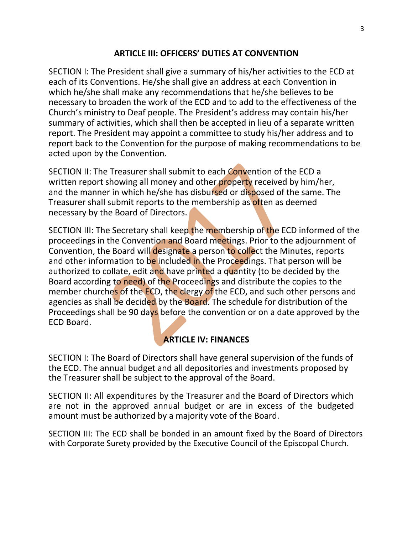#### **ARTICLE III: OFFICERS' DUTIES AT CONVENTION**

SECTION I: The President shall give a summary of his/her activities to the ECD at each of its Conventions. He/she shall give an address at each Convention in which he/she shall make any recommendations that he/she believes to be necessary to broaden the work of the ECD and to add to the effectiveness of the Church's ministry to Deaf people. The President's address may contain his/her summary of activities, which shall then be accepted in lieu of a separate written report. The President may appoint a committee to study his/her address and to report back to the Convention for the purpose of making recommendations to be acted upon by the Convention.

SECTION II: The Treasurer shall submit to each Convention of the ECD a written report showing all money and other property received by him/her, and the manner in which he/she has disbursed or disposed of the same. The Treasurer shall submit reports to the membership as often as deemed necessary by the Board of Directors.

SECTION III: The Secretary shall keep the membership of the ECD informed of the proceedings in the Convention and Board meetings. Prior to the adjournment of Convention, the Board will designate a person to collect the Minutes, reports and other information to be included in the Proceedings. That person will be authorized to collate, edit and have printed a quantity (to be decided by the Board according to need) of the Proceedings and distribute the copies to the member churches of the ECD, the clergy of the ECD, and such other persons and agencies as shall be decided by the Board. The schedule for distribution of the Proceedings shall be 90 days before the convention or on a date approved by the ECD Board.

## **ARTICLE IV: FINANCES**

SECTION I: The Board of Directors shall have general supervision of the funds of the ECD. The annual budget and all depositories and investments proposed by the Treasurer shall be subject to the approval of the Board.

SECTION II: All expenditures by the Treasurer and the Board of Directors which are not in the approved annual budget or are in excess of the budgeted amount must be authorized by a majority vote of the Board.

SECTION III: The ECD shall be bonded in an amount fixed by the Board of Directors with Corporate Surety provided by the Executive Council of the Episcopal Church.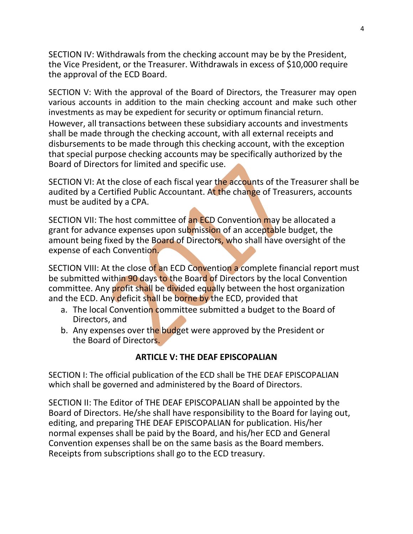SECTION IV: Withdrawals from the checking account may be by the President, the Vice President, or the Treasurer. Withdrawals in excess of \$10,000 require the approval of the ECD Board.

SECTION V: With the approval of the Board of Directors, the Treasurer may open various accounts in addition to the main checking account and make such other investments as may be expedient for security or optimum financial return. However, all transactions between these subsidiary accounts and investments shall be made through the checking account, with all external receipts and disbursements to be made through this checking account, with the exception that special purpose checking accounts may be specifically authorized by the Board of Directors for limited and specific use.

SECTION VI: At the close of each fiscal year the accounts of the Treasurer shall be audited by a Certified Public Accountant. At the change of Treasurers, accounts must be audited by a CPA.

SECTION VII: The host committee of an ECD Convention may be allocated a grant for advance expenses upon submission of an acceptable budget, the amount being fixed by the Board of Directors, who shall have oversight of the expense of each Convention.

SECTION VIII: At the close of an ECD Convention a complete financial report must be submitted within 90 days to the Board of Directors by the local Convention committee. Any profit shall be divided equally between the host organization and the ECD. Any deficit shall be borne by the ECD, provided that

- a. The local Convention committee submitted a budget to the Board of Directors, and
- b. Any expenses over the budget were approved by the President or the Board of Directors.

## **ARTICLE V: THE DEAF EPISCOPALIAN**

SECTION I: The official publication of the ECD shall be THE DEAF EPISCOPALIAN which shall be governed and administered by the Board of Directors.

SECTION II: The Editor of THE DEAF EPISCOPALIAN shall be appointed by the Board of Directors. He/she shall have responsibility to the Board for laying out, editing, and preparing THE DEAF EPISCOPALIAN for publication. His/her normal expenses shall be paid by the Board, and his/her ECD and General Convention expenses shall be on the same basis as the Board members. Receipts from subscriptions shall go to the ECD treasury.